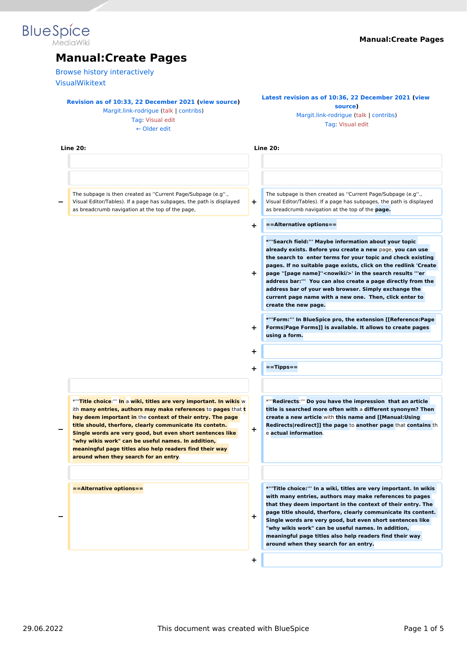# **Blue** Spice

# **Manual:Create Pages**

[Browse history interactively](https://en.wiki.bluespice.com)

[VisualWikitext](https://en.wiki.bluespice.com)

#### **[Revision as of 10:33, 22 December 2021](https://en.wiki.bluespice.com/w/index.php?title=Manual:Create_Pages&oldid=1672) ([view source\)](https://en.wiki.bluespice.com/w/index.php?title=Manual:Create_Pages&action=edit&oldid=1672)**

[Margit.link-rodrigue](https://en.wiki.bluespice.com/wiki/User:Margit.link-rodrigue) ([talk](https://en.wiki.bluespice.com/w/index.php?title=User_talk:Margit.link-rodrigue&action=view) | [contribs](https://en.wiki.bluespice.com/wiki/Special:Contributions/Margit.link-rodrigue)) [Tag](https://en.wiki.bluespice.com/wiki/Special:Tags): [Visual edit](https://en.wiki.bluespice.com/w/index.php?title=Site:VisualEditor&action=view)

[← Older edit](https://en.wiki.bluespice.com/w/index.php?title=Manual:Create_Pages&diff=prev&oldid=1672)

#### **[Latest revision as of 10:36, 22 December 2021](https://en.wiki.bluespice.com/w/index.php?title=Manual:Create_Pages&oldid=1673) [\(view](https://en.wiki.bluespice.com/w/index.php?title=Manual:Create_Pages&action=edit)  [source](https://en.wiki.bluespice.com/w/index.php?title=Manual:Create_Pages&action=edit))** [Margit.link-rodrigue](https://en.wiki.bluespice.com/wiki/User:Margit.link-rodrigue) [\(talk](https://en.wiki.bluespice.com/w/index.php?title=User_talk:Margit.link-rodrigue&action=view) | [contribs\)](https://en.wiki.bluespice.com/wiki/Special:Contributions/Margit.link-rodrigue)

[Tag:](https://en.wiki.bluespice.com/wiki/Special:Tags) [Visual edit](https://en.wiki.bluespice.com/w/index.php?title=Site:VisualEditor&action=view)

| <b>Line 20:</b>                                                                                                                                                                                                                                                                                                                                                                                                                                                                                           |    | <b>Line 20:</b>                                                                                                                                                                                                                                                                                                                                                                                                                                                                                                                    |  |  |
|-----------------------------------------------------------------------------------------------------------------------------------------------------------------------------------------------------------------------------------------------------------------------------------------------------------------------------------------------------------------------------------------------------------------------------------------------------------------------------------------------------------|----|------------------------------------------------------------------------------------------------------------------------------------------------------------------------------------------------------------------------------------------------------------------------------------------------------------------------------------------------------------------------------------------------------------------------------------------------------------------------------------------------------------------------------------|--|--|
|                                                                                                                                                                                                                                                                                                                                                                                                                                                                                                           |    |                                                                                                                                                                                                                                                                                                                                                                                                                                                                                                                                    |  |  |
| The subpage is then created as "Current Page/Subpage (e.g".,<br>Visual Editor/Tables). If a page has subpages, the path is displayed<br>as breadcrumb navigation at the top of the page,                                                                                                                                                                                                                                                                                                                  | ÷  | The subpage is then created as "Current Page/Subpage (e.g".,<br>Visual Editor/Tables). If a page has subpages, the path is displayed<br>as breadcrumb navigation at the top of the page.                                                                                                                                                                                                                                                                                                                                           |  |  |
|                                                                                                                                                                                                                                                                                                                                                                                                                                                                                                           | +  | ==Alternative options==                                                                                                                                                                                                                                                                                                                                                                                                                                                                                                            |  |  |
|                                                                                                                                                                                                                                                                                                                                                                                                                                                                                                           | ÷. | *"'Search field:"' Maybe information about your topic<br>already exists. Before you create a new page, you can use<br>the search to enter terms for your topic and check existing<br>pages. If no suitable page exists, click on the redlink 'Create<br>page "[page name]" <nowiki></nowiki> ' in the search results "'er<br>address bar:"" You can also create a page directly from the<br>address bar of your web browser. Simply exchange the<br>current page name with a new one. Then, click enter to<br>create the new page. |  |  |
|                                                                                                                                                                                                                                                                                                                                                                                                                                                                                                           | ÷. | *"'Form:"' In BlueSpice pro, the extension [[Reference:Page<br>Forms Page Forms]] is available. It allows to create pages<br>using a form.                                                                                                                                                                                                                                                                                                                                                                                         |  |  |
|                                                                                                                                                                                                                                                                                                                                                                                                                                                                                                           | +  |                                                                                                                                                                                                                                                                                                                                                                                                                                                                                                                                    |  |  |
|                                                                                                                                                                                                                                                                                                                                                                                                                                                                                                           | +  | $=$ =Tipps==                                                                                                                                                                                                                                                                                                                                                                                                                                                                                                                       |  |  |
| *"Title choice:"" In a wiki, titles are very important. In wikis w<br>ith <b>many entries, authors may make references</b> to <b>pages</b> that <b>t</b><br>hey deem important in the context of their entry. The page<br>title should, therfore, clearly communicate its contetn.<br>Single words are very good, but even short sentences like<br>"why wikis work" can be useful names. In addition,<br>meaningful page titles also help readers find their way<br>around when they search for an entry. | +  | *""Redirects:"" Do you have the impression that an article<br>title is searched more often with a different synonym? Then<br>create a new article with this name and [[Manual:Using<br>Redirects/redirect]] the page to another page that contains th<br>e actual information.                                                                                                                                                                                                                                                     |  |  |
| ==Alternative options==                                                                                                                                                                                                                                                                                                                                                                                                                                                                                   | +  | *"Title choice:"' In a wiki, titles are very important. In wikis<br>with many entries, authors may make references to pages<br>that they deem important in the context of their entry. The<br>page title should, therfore, clearly communicate its content.<br>Single words are very good, but even short sentences like<br>"why wikis work" can be useful names. In addition,<br>meaningful page titles also help readers find their way<br>around when they search for an entry.                                                 |  |  |
|                                                                                                                                                                                                                                                                                                                                                                                                                                                                                                           | +  |                                                                                                                                                                                                                                                                                                                                                                                                                                                                                                                                    |  |  |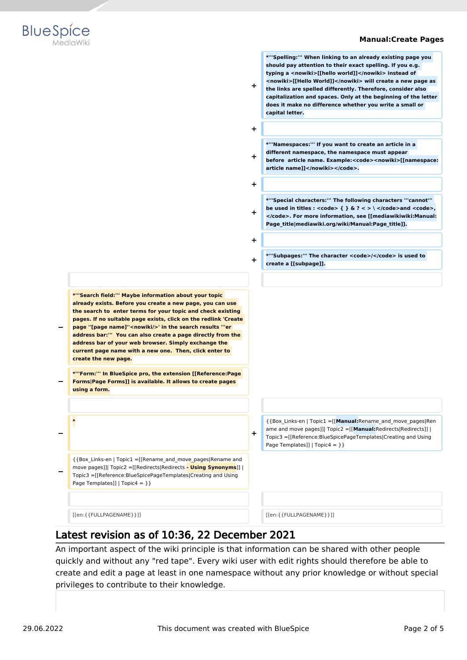

**\*'''Spelling:''' When linking to an already existing page you should pay attention to their exact spelling. If you e.g. typing a <nowiki>[[hello world]]</nowiki> instead of <nowiki>[[Hello World]]</nowiki> will create a new page as the links are spelled differently. Therefore, consider also capitalization and spaces. Only at the beginning of the letter does it make no difference whether you write a small or** 



**+ + \*'''Namespaces:''' If you want to create an article in a different namespace, the namespace must appear before article name. Example:<code><nowiki>[[namespace: article name]]</nowiki></code>. + + \*'''Special characters:''' The following characters '''cannot'''**  be used in titles :  $<$ code>  $\{ \}$ & $?$  < > \  $<$ /code>and  $<$ code>, **</code>. For more information, see [[mediawikiwiki:Manual: Page\_title|mediawiki.org/wiki/Manual:Page\_title]]. + + \*'''Subpages:''' The character <code>/</code> is used to create a [[subpage]]. − \*'''Search field:''' Maybe information about your topic already exists. Before you create a new page, you can use the search to enter terms for your topic and check existing pages. If no suitable page exists, click on the redlink 'Create page ''[page name]''<nowiki/>' in the search results '''er address bar:''' You can also create a page directly from the address bar of your web browser. Simply exchange the current page name with a new one. Then, click enter to create the new page. − \*'''Form:''' In BlueSpice pro, the extension [[Reference:Page Forms|Page Forms]] is available. It allows to create pages using a form. − \* +** {{Box\_Links-en | Topic1 =[[**Manual:**Rename\_and\_move\_pages|Ren ame and move pages]]| Topic2 =[[**Manual:**Redirects|Redirects]] | Topic3 =[[Reference:BlueSpicePageTemplates|Creating and Using Page Templates]] |  $Topic4 = \}$ **−** {{Box\_Links-en | Topic1 =[[Rename\_and\_move\_pages|Rename and move pages]]| Topic2 =[[Redirects|Redirects **- Using Synonyms**]] | Topic3 =[[Reference:BlueSpicePageTemplates|Creating and Using Page Templates]] | Topic4 = } } [[en:{{FULLPAGENAME}}]] [[en:{{FULLPAGENAME}}]]

**+**

**capital letter.**

## Latest revision as of 10:36, 22 December 2021

An important aspect of the wiki principle is that information can be shared with other people quickly and without any "red tape". Every wiki user with edit rights should therefore be able to create and edit a page at least in one namespace without any prior knowledge or without special privileges to contribute to their knowledge.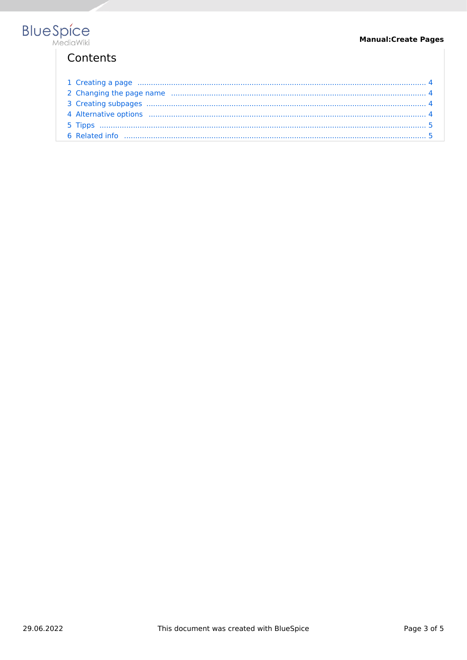# Contents

| 1 Creating a page manufactured and a strategies and a strategies of the strategies of the strategies of the strategies and the strategies of the strategies of the strategies of the strategies of the strategies of the strat |  |
|--------------------------------------------------------------------------------------------------------------------------------------------------------------------------------------------------------------------------------|--|
|                                                                                                                                                                                                                                |  |
|                                                                                                                                                                                                                                |  |
|                                                                                                                                                                                                                                |  |
|                                                                                                                                                                                                                                |  |
|                                                                                                                                                                                                                                |  |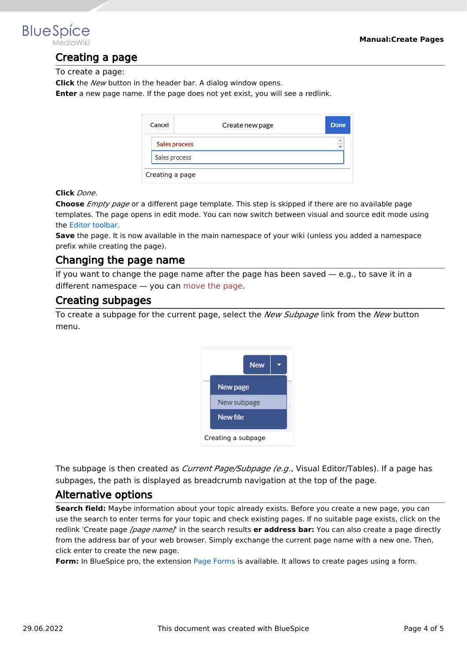<span id="page-3-0"></span>

## Creating a page

To create a page:

**Click** the *New* button in the header bar. A dialog window opens.

**Enter** a new page name. If the page does not yet exist, you will see a redlink.

| Cancel          | Create new page | Done      |
|-----------------|-----------------|-----------|
|                 | Sales process   | $\hat{=}$ |
| Sales process   |                 |           |
| Creating a page |                 |           |

#### **Click** *Done*.

**Choose** *Empty page* or a different page template. This step is skipped if there are no available page templates. The page opens in edit mode. You can now switch between visual and source edit mode using the [Editor toolbar.](https://en.wiki.bluespice.com/wiki/Manual:Extension/VisualEditor)

**Save** the page. It is now available in the main namespace of your wiki (unless you added a namespace prefix while creating the page).

## <span id="page-3-1"></span>Changing the page name

If you want to change the page name after the page has been saved  $-$  e.g., to save it in a different namespace — you can [move the page](https://en.wiki.bluespice.com/w/index.php?title=Manual:Rename_and_move_a_page&action=view).

## <span id="page-3-2"></span>Creating subpages

To create a subpage for the current page, select the *New Subpage* link from the *New* button menu.



The subpage is then created as *Current Page/Subpage (e.g*., Visual Editor/Tables). If a page has subpages, the path is displayed as breadcrumb navigation at the top of the page.

## <span id="page-3-3"></span>Alternative options

**Search field:** Maybe information about your topic already exists. Before you create a new page, you can use the search to enter terms for your topic and check existing pages. If no suitable page exists, click on the redlink 'Create page *[page name]*' in the search results **er address bar:** You can also create a page directly from the address bar of your web browser. Simply exchange the current page name with a new one. Then, click enter to create the new page.

**Form:** In BlueSpice pro, the extension [Page Forms](https://en.wiki.bluespice.com/wiki/Reference:Page_Forms) is available. It allows to create pages using a form.